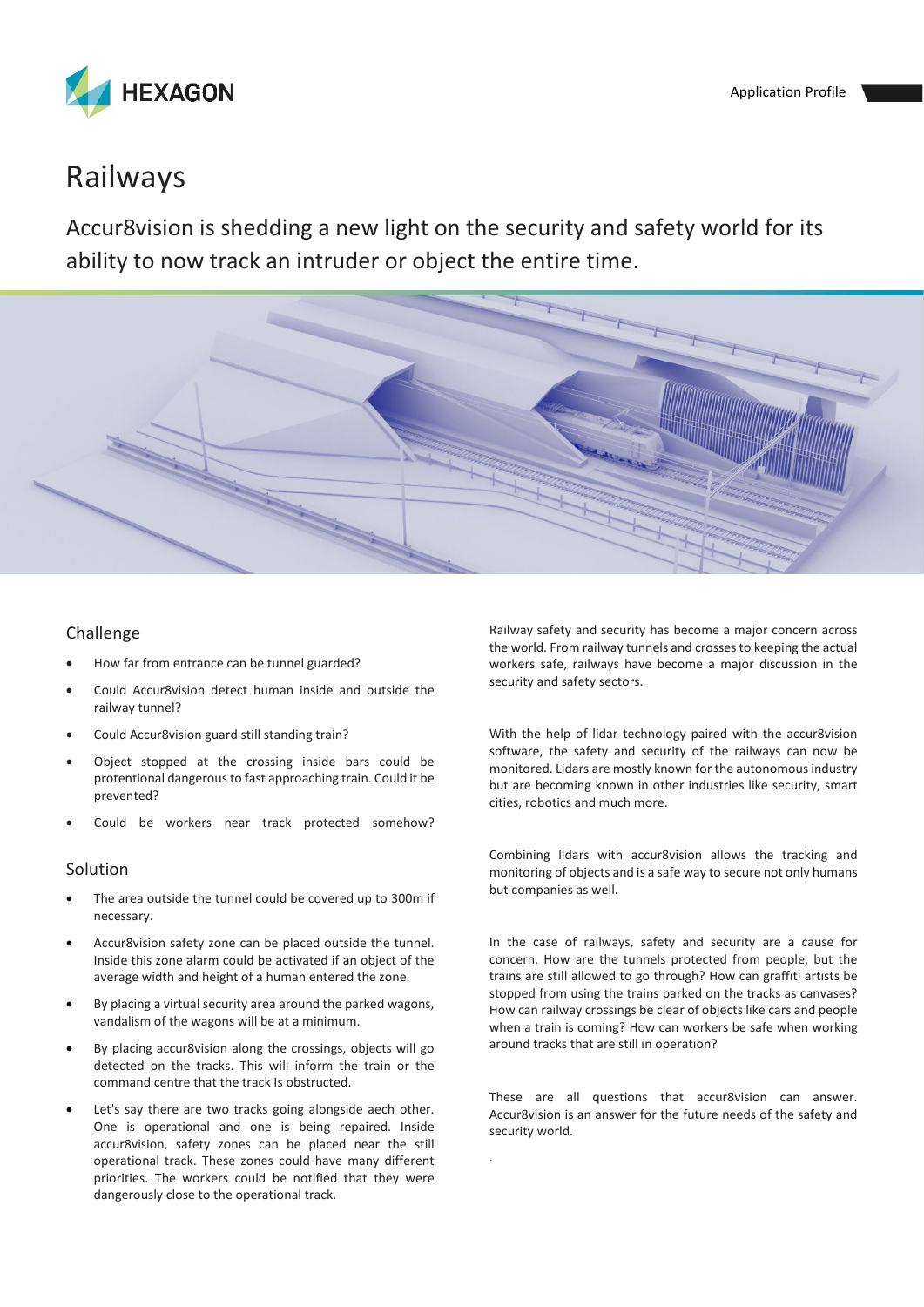

# Railways

Accur8vision is shedding a new light on the security and safety world for its ability to now track an intruder or object the entire time.



.

### Challenge

- How far from entrance can be tunnel guarded?
- Could Accur8vision detect human inside and outside the railway tunnel?
- Could Accur8vision guard still standing train?
- Object stopped at the crossing inside bars could be protentional dangerous to fast approaching train. Could it be prevented?
- Could be workers near track protected somehow?

#### Solution

- The area outside the tunnel could be covered up to 300m if necessary.
- Accur8vision safety zone can be placed outside the tunnel. Inside this zone alarm could be activated if an object of the average width and height of a human entered the zone.
- By placing a virtual security area around the parked wagons, vandalism of the wagons will be at a minimum.
- By placing accur8vision along the crossings, objects will go detected on the tracks. This will inform the train or the command centre that the track Is obstructed.
- Let's say there are two tracks going alongside aech other. One is operational and one is being repaired. Inside accur8vision, safety zones can be placed near the still operational track. These zones could have many different priorities. The workers could be notified that they were dangerously close to the operational track.

Railway safety and security has become a major concern across the world. From railway tunnels and crosses to keeping the actual workers safe, railways have become a major discussion in the security and safety sectors.

With the help of lidar technology paired with the accur8vision software, the safety and security of the railways can now be monitored. Lidars are mostly known for the autonomous industry but are becoming known in other industries like security, smart cities, robotics and much more.

Combining lidars with accur8vision allows the tracking and monitoring of objects and is a safe way to secure not only humans but companies as well.

In the case of railways, safety and security are a cause for concern. How are the tunnels protected from people, but the trains are still allowed to go through? How can graffiti artists be stopped from using the trains parked on the tracks as canvases? How can railway crossings be clear of objects like cars and people when a train is coming? How can workers be safe when working around tracks that are still in operation?

These are all questions that accur8vision can answer. Accur8vision is an answer for the future needs of the safety and security world.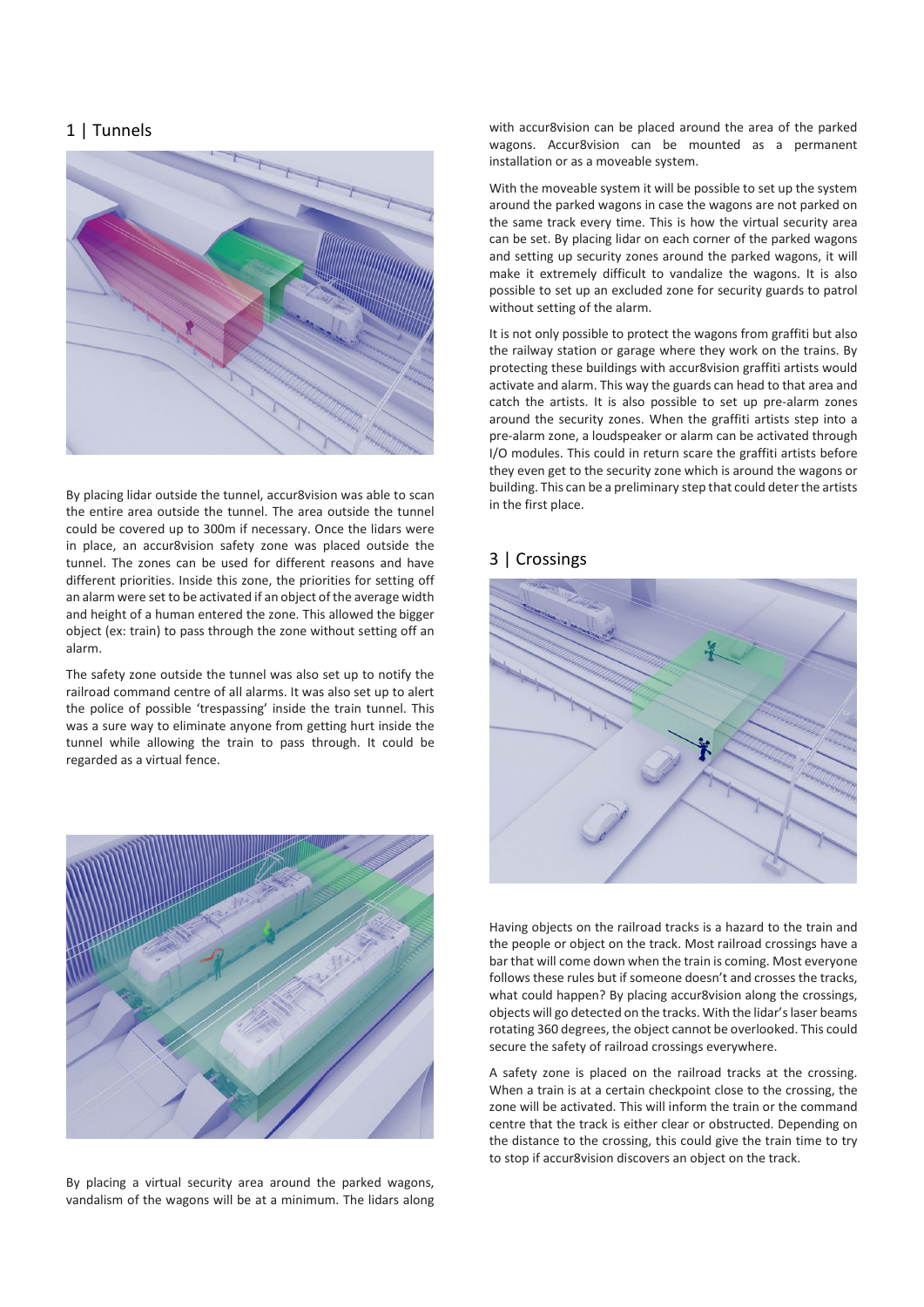# 1 | Tunnels



By placing lidar outside the tunnel, accur8vision was able to scan the entire area outside the tunnel. The area outside the tunnel could be covered up to 300m if necessary. Once the lidars were in place, an accur8vision safety zone was placed outside the tunnel. The zones can be used for different reasons and have different priorities. Inside this zone, the priorities for setting off an alarm were set to be activated if an object of the average width and height of a human entered the zone. This allowed the bigger object (ex: train) to pass through the zone without setting off an alarm.

The safety zone outside the tunnel was also set up to notify the railroad command centre of all alarms. It was also set up to alert the police of possible 'trespassing' inside the train tunnel. This was a sure way to eliminate anyone from getting hurt inside the tunnel while allowing the train to pass through. It could be regarded as a virtual fence.



By placing a virtual security area around the parked wagons, vandalism of the wagons will be at a minimum. The lidars along with accur8vision can be placed around the area of the parked wagons. Accur8vision can be mounted as a permanent installation or as a moveable system.

With the moveable system it will be possible to set up the system around the parked wagons in case the wagons are not parked on the same track every time. This is how the virtual security area can be set. By placing lidar on each corner of the parked wagons and setting up security zones around the parked wagons, it will make it extremely difficult to vandalize the wagons. It is also possible to set up an excluded zone for security guards to patrol without setting of the alarm.

It is not only possible to protect the wagons from graffiti but also the railway station or garage where they work on the trains. By protecting these buildings with accur8vision graffiti artists would activate and alarm. This way the guards can head to that area and catch the artists. It is also possible to set up pre-alarm zones around the security zones. When the graffiti artists step into a pre-alarm zone, a loudspeaker or alarm can be activated through I/O modules. This could in return scare the graffiti artists before they even get to the security zone which is around the wagons or building. This can be a preliminary step that could deter the artists in the first place.

## 3 | Crossings



Having objects on the railroad tracks is a hazard to the train and the people or object on the track. Most railroad crossings have a bar that will come down when the train is coming. Most everyone follows these rules but if someone doesn't and crosses the tracks, what could happen? By placing accur8vision along the crossings, objects will go detected on the tracks. With the lidar's laser beams rotating 360 degrees, the object cannot be overlooked. This could secure the safety of railroad crossings everywhere.

A safety zone is placed on the railroad tracks at the crossing. When a train is at a certain checkpoint close to the crossing, the zone will be activated. This will inform the train or the command centre that the track is either clear or obstructed. Depending on the distance to the crossing, this could give the train time to try to stop if accur8vision discovers an object on the track.